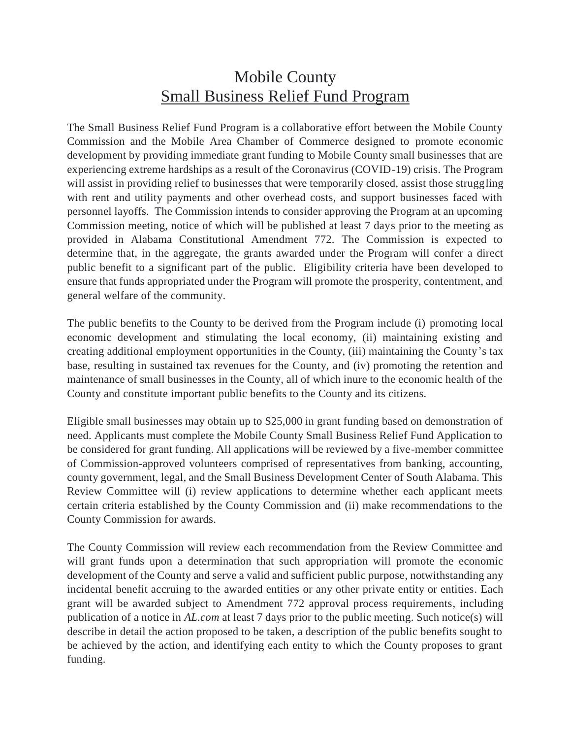## Mobile County Small Business Relief Fund Program

The Small Business Relief Fund Program is a collaborative effort between the Mobile County Commission and the Mobile Area Chamber of Commerce designed to promote economic development by providing immediate grant funding to Mobile County small businesses that are experiencing extreme hardships as a result of the Coronavirus (COVID-19) crisis. The Program will assist in providing relief to businesses that were temporarily closed, assist those struggling with rent and utility payments and other overhead costs, and support businesses faced with personnel layoffs. The Commission intends to consider approving the Program at an upcoming Commission meeting, notice of which will be published at least 7 days prior to the meeting as provided in Alabama Constitutional Amendment 772. The Commission is expected to determine that, in the aggregate, the grants awarded under the Program will confer a direct public benefit to a significant part of the public. Eligibility criteria have been developed to ensure that funds appropriated under the Program will promote the prosperity, contentment, and general welfare of the community.

The public benefits to the County to be derived from the Program include (i) promoting local economic development and stimulating the local economy, (ii) maintaining existing and creating additional employment opportunities in the County, (iii) maintaining the County's tax base, resulting in sustained tax revenues for the County, and (iv) promoting the retention and maintenance of small businesses in the County, all of which inure to the economic health of the County and constitute important public benefits to the County and its citizens.

Eligible small businesses may obtain up to \$25,000 in grant funding based on demonstration of need. Applicants must complete the Mobile County Small Business Relief Fund Application to be considered for grant funding. All applications will be reviewed by a five-member committee of Commission-approved volunteers comprised of representatives from banking, accounting, county government, legal, and the Small Business Development Center of South Alabama. This Review Committee will (i) review applications to determine whether each applicant meets certain criteria established by the County Commission and (ii) make recommendations to the County Commission for awards.

The County Commission will review each recommendation from the Review Committee and will grant funds upon a determination that such appropriation will promote the economic development of the County and serve a valid and sufficient public purpose, notwithstanding any incidental benefit accruing to the awarded entities or any other private entity or entities. Each grant will be awarded subject to Amendment 772 approval process requirements, including publication of a notice in *AL.com* at least 7 days prior to the public meeting. Such notice(s) will describe in detail the action proposed to be taken, a description of the public benefits sought to be achieved by the action, and identifying each entity to which the County proposes to grant funding.